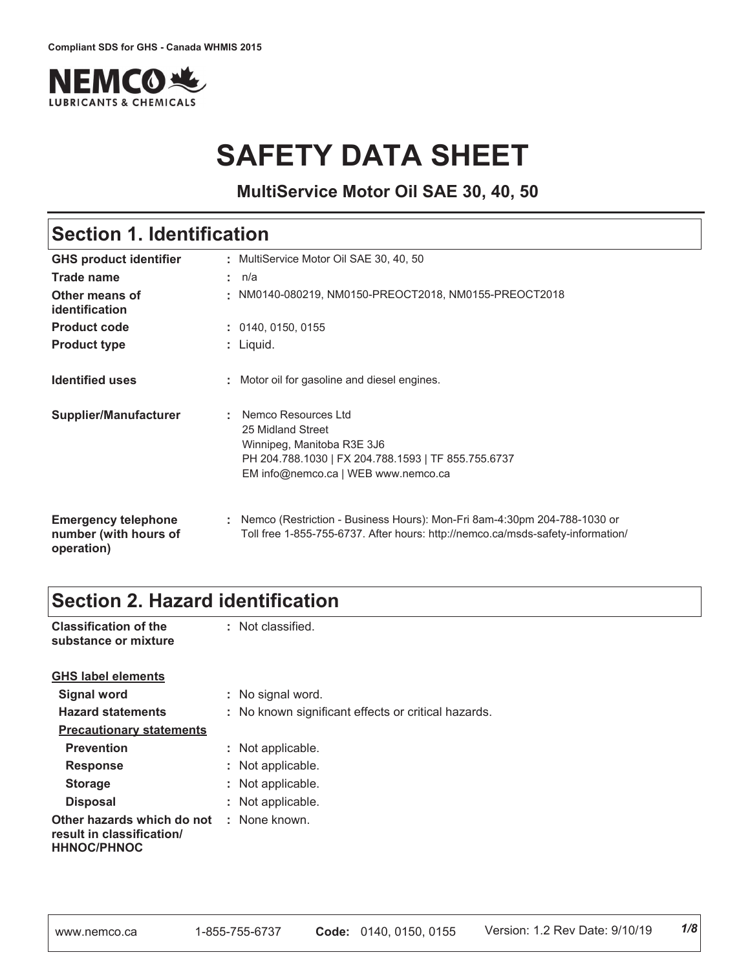

# **SAFETY DATA SHEET**

**MultiService Motor Oil SAE 30, 40, 50**

# **Section 1. Identification**

| <b>GHS product identifier</b>                                     | MultiService Motor Oil SAE 30, 40, 50                                                                                                                                |
|-------------------------------------------------------------------|----------------------------------------------------------------------------------------------------------------------------------------------------------------------|
| <b>Trade name</b>                                                 | : n/a                                                                                                                                                                |
| Other means of<br>identification                                  | : NM0140-080219, NM0150-PREOCT2018, NM0155-PREOCT2018                                                                                                                |
| <b>Product code</b>                                               | : 0140, 0150, 0155                                                                                                                                                   |
| <b>Product type</b>                                               | : Liquid.                                                                                                                                                            |
| <b>Identified uses</b>                                            | : Motor oil for gasoline and diesel engines.                                                                                                                         |
| Supplier/Manufacturer                                             | Nemco Resources Ltd<br>25 Midland Street<br>Winnipeg, Manitoba R3E 3J6<br>PH 204.788.1030   FX 204.788.1593   TF 855.755.6737<br>EM info@nemco.ca   WEB www.nemco.ca |
| <b>Emergency telephone</b><br>number (with hours of<br>operation) | : Nemco (Restriction - Business Hours): Mon-Fri 8am-4:30pm 204-788-1030 or<br>Toll free 1-855-755-6737. After hours: http://nemco.ca/msds-safety-information/        |

# **Section 2. Hazard identification**

| <b>Classification of the</b><br>substance or mixture                          | : Not classified.                                   |
|-------------------------------------------------------------------------------|-----------------------------------------------------|
| <b>GHS label elements</b>                                                     |                                                     |
| Signal word                                                                   | : No signal word.                                   |
| <b>Hazard statements</b>                                                      | : No known significant effects or critical hazards. |
| <b>Precautionary statements</b>                                               |                                                     |
| <b>Prevention</b>                                                             | : Not applicable.                                   |
| <b>Response</b>                                                               | : Not applicable.                                   |
| <b>Storage</b>                                                                | : Not applicable.                                   |
| <b>Disposal</b>                                                               | : Not applicable.                                   |
| Other hazards which do not<br>result in classification/<br><b>HHNOC/PHNOC</b> | : None known.                                       |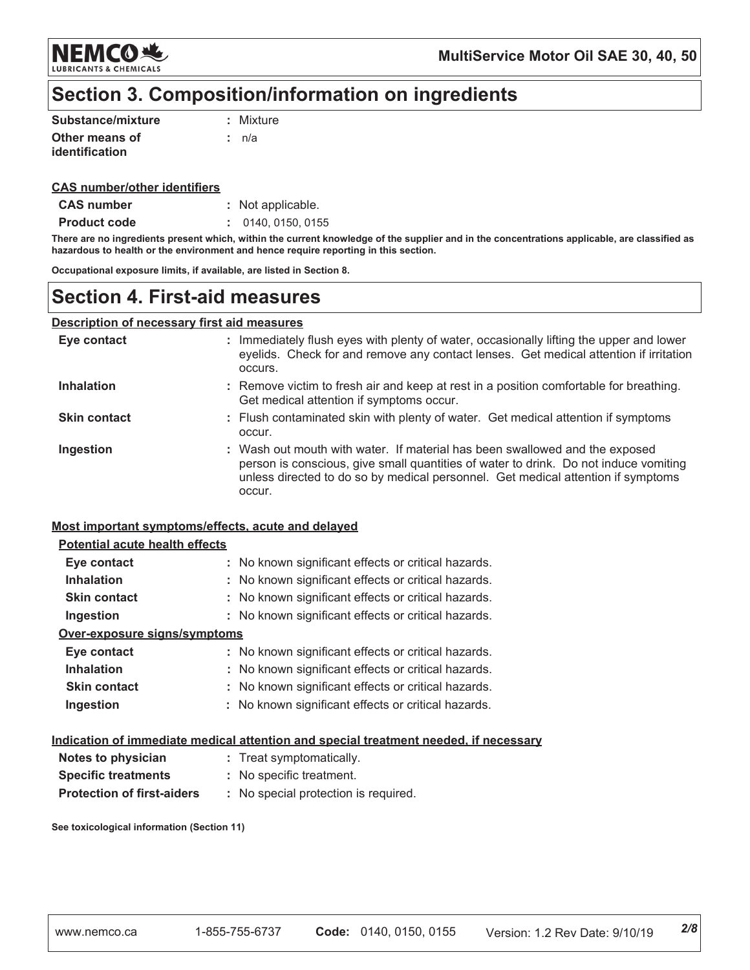

# Section 3. Composition/information on ingredients

| Substance/mixture | : Mixture |
|-------------------|-----------|
| Other means of    | .t n/a    |
| identification    |           |

### **CAS number/other identifiers**

| <b>CAS number</b> | : Not applicable. |
|-------------------|-------------------|
|-------------------|-------------------|

**Product code** : 0140, 0150, 0155

There are no ingredients present which, within the current knowledge of the supplier and in the concentrations applicable, are classified as hazardous to health or the environment and hence require reporting in this section.

Occupational exposure limits, if available, are listed in Section 8.

### **Section 4. First-aid measures**

### **Description of necessary first aid measures**

| Eye contact         | : Immediately flush eyes with plenty of water, occasionally lifting the upper and lower<br>eyelids. Check for and remove any contact lenses. Get medical attention if irritation<br>occurs.                                                                       |
|---------------------|-------------------------------------------------------------------------------------------------------------------------------------------------------------------------------------------------------------------------------------------------------------------|
| <b>Inhalation</b>   | : Remove victim to fresh air and keep at rest in a position comfortable for breathing.<br>Get medical attention if symptoms occur.                                                                                                                                |
| <b>Skin contact</b> | : Flush contaminated skin with plenty of water. Get medical attention if symptoms<br>occur.                                                                                                                                                                       |
| Ingestion           | : Wash out mouth with water. If material has been swallowed and the exposed<br>person is conscious, give small quantities of water to drink. Do not induce vomiting<br>unless directed to do so by medical personnel. Get medical attention if symptoms<br>occur. |

### Most important symptoms/effects, acute and delayed

### **Potential acute health effects**

| Eye contact                  | : No known significant effects or critical hazards. |
|------------------------------|-----------------------------------------------------|
| <b>Inhalation</b>            | : No known significant effects or critical hazards. |
| <b>Skin contact</b>          | : No known significant effects or critical hazards. |
| Ingestion                    | : No known significant effects or critical hazards. |
| Over-exposure signs/symptoms |                                                     |
| Eye contact                  | : No known significant effects or critical hazards. |
| <b>Inhalation</b>            | : No known significant effects or critical hazards. |
| <b>Skin contact</b>          | : No known significant effects or critical hazards. |
| Ingestion                    | : No known significant effects or critical hazards. |

#### Indication of immediate medical attention and special treatment needed, if necessary

| Notes to physician                | : Treat symptomatically.             |
|-----------------------------------|--------------------------------------|
| <b>Specific treatments</b>        | : No specific treatment.             |
| <b>Protection of first-aiders</b> | : No special protection is required. |

See toxicological information (Section 11)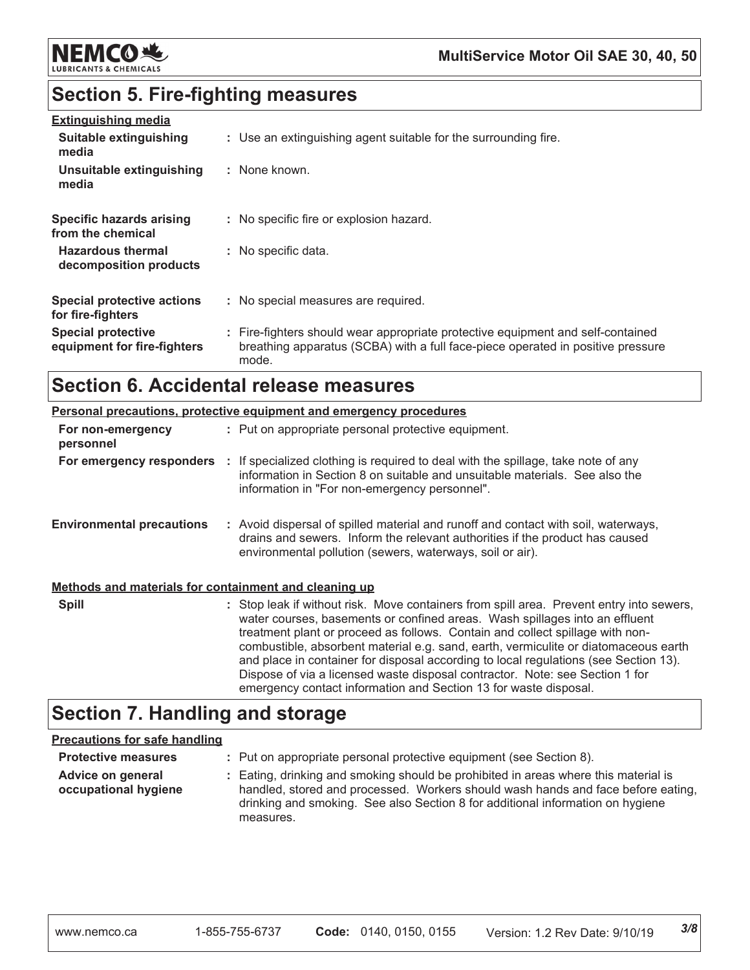

# **Section 5. Fire-fighting measures**

| <b>Extinguishing media</b><br>Suitable extinguishing<br>media | : Use an extinguishing agent suitable for the surrounding fire.                                                                                                             |
|---------------------------------------------------------------|-----------------------------------------------------------------------------------------------------------------------------------------------------------------------------|
| Unsuitable extinguishing<br>media                             | : None known.                                                                                                                                                               |
| <b>Specific hazards arising</b><br>from the chemical          | : No specific fire or explosion hazard.                                                                                                                                     |
| <b>Hazardous thermal</b><br>decomposition products            | : No specific data.                                                                                                                                                         |
| <b>Special protective actions</b><br>for fire-fighters        | : No special measures are required.                                                                                                                                         |
| <b>Special protective</b><br>equipment for fire-fighters      | : Fire-fighters should wear appropriate protective equipment and self-contained<br>breathing apparatus (SCBA) with a full face-piece operated in positive pressure<br>mode. |

# **Section 6. Accidental release measures**

|                                                       | <b>Personal precautions, protective equipment and emergency procedures</b>                                                                                                                                                                                                                                                                                                                                                                                                                                                                                                                  |
|-------------------------------------------------------|---------------------------------------------------------------------------------------------------------------------------------------------------------------------------------------------------------------------------------------------------------------------------------------------------------------------------------------------------------------------------------------------------------------------------------------------------------------------------------------------------------------------------------------------------------------------------------------------|
| For non-emergency<br>personnel                        | : Put on appropriate personal protective equipment.                                                                                                                                                                                                                                                                                                                                                                                                                                                                                                                                         |
| For emergency responders                              | : If specialized clothing is required to deal with the spillage, take note of any<br>information in Section 8 on suitable and unsuitable materials. See also the<br>information in "For non-emergency personnel".                                                                                                                                                                                                                                                                                                                                                                           |
| <b>Environmental precautions</b>                      | : Avoid dispersal of spilled material and runoff and contact with soil, waterways,<br>drains and sewers. Inform the relevant authorities if the product has caused<br>environmental pollution (sewers, waterways, soil or air).                                                                                                                                                                                                                                                                                                                                                             |
| Methods and materials for containment and cleaning up |                                                                                                                                                                                                                                                                                                                                                                                                                                                                                                                                                                                             |
| <b>Spill</b>                                          | : Stop leak if without risk. Move containers from spill area. Prevent entry into sewers,<br>water courses, basements or confined areas. Wash spillages into an effluent<br>treatment plant or proceed as follows. Contain and collect spillage with non-<br>combustible, absorbent material e.g. sand, earth, vermiculite or diatomaceous earth<br>and place in container for disposal according to local regulations (see Section 13).<br>Dispose of via a licensed waste disposal contractor. Note: see Section 1 for<br>emergency contact information and Section 13 for waste disposal. |

# **Section 7. Handling and storage**

### **Precautions for safe handling**

| <b>Protective measures</b>                | : Put on appropriate personal protective equipment (see Section 8).                                                                                                                                                                                                    |
|-------------------------------------------|------------------------------------------------------------------------------------------------------------------------------------------------------------------------------------------------------------------------------------------------------------------------|
| Advice on general<br>occupational hygiene | : Eating, drinking and smoking should be prohibited in areas where this material is<br>handled, stored and processed. Workers should wash hands and face before eating,<br>drinking and smoking. See also Section 8 for additional information on hygiene<br>measures. |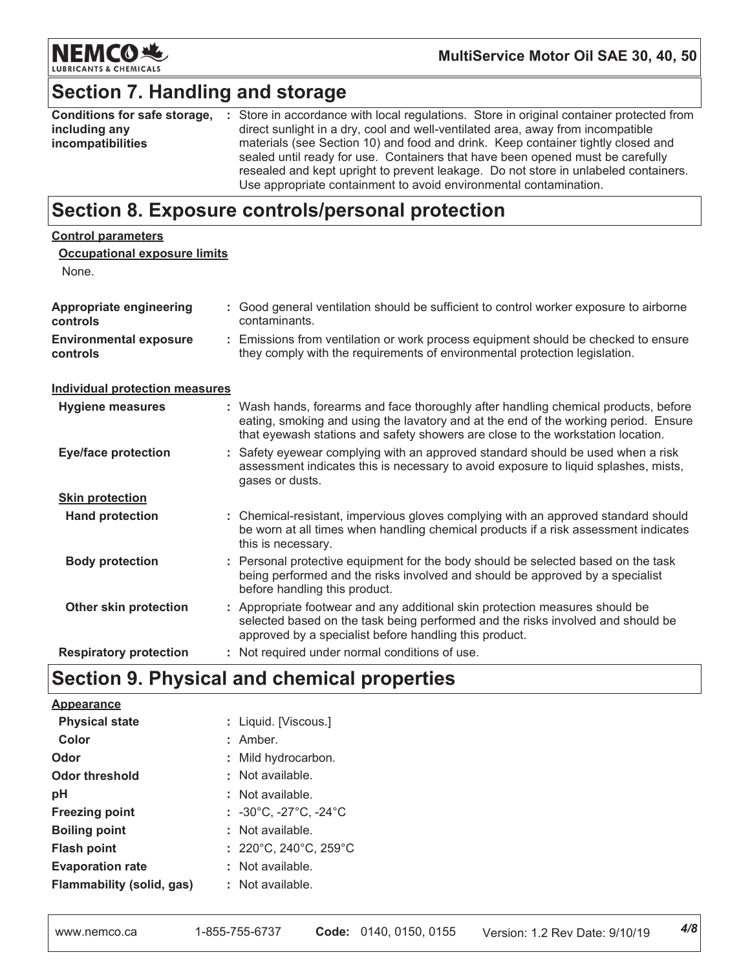

# **Section 7. Handling and storage**

| Conditions for safe storage, | : Store in accordance with local regulations. Store in original container protected from                                                                                                                                                                                                                                       |  |
|------------------------------|--------------------------------------------------------------------------------------------------------------------------------------------------------------------------------------------------------------------------------------------------------------------------------------------------------------------------------|--|
| including any                | direct sunlight in a dry, cool and well-ventilated area, away from incompatible                                                                                                                                                                                                                                                |  |
| incompatibilities            | materials (see Section 10) and food and drink. Keep container tightly closed and<br>sealed until ready for use. Containers that have been opened must be carefully<br>resealed and kept upright to prevent leakage. Do not store in unlabeled containers.<br>Use appropriate containment to avoid environmental contamination. |  |

# Section 8. Exposure controls/personal protection

| <b>Control parameters</b>                    |                                                                                                                                                                                                                                                               |
|----------------------------------------------|---------------------------------------------------------------------------------------------------------------------------------------------------------------------------------------------------------------------------------------------------------------|
| <b>Occupational exposure limits</b><br>None. |                                                                                                                                                                                                                                                               |
| <b>Appropriate engineering</b><br>controls   | : Good general ventilation should be sufficient to control worker exposure to airborne<br>contaminants.                                                                                                                                                       |
| <b>Environmental exposure</b><br>controls    | : Emissions from ventilation or work process equipment should be checked to ensure<br>they comply with the requirements of environmental protection legislation.                                                                                              |
| <b>Individual protection measures</b>        |                                                                                                                                                                                                                                                               |
| <b>Hygiene measures</b>                      | : Wash hands, forearms and face thoroughly after handling chemical products, before<br>eating, smoking and using the lavatory and at the end of the working period. Ensure<br>that eyewash stations and safety showers are close to the workstation location. |
| <b>Eye/face protection</b>                   | : Safety eyewear complying with an approved standard should be used when a risk<br>assessment indicates this is necessary to avoid exposure to liquid splashes, mists,<br>gases or dusts.                                                                     |
| <b>Skin protection</b>                       |                                                                                                                                                                                                                                                               |
| <b>Hand protection</b>                       | : Chemical-resistant, impervious gloves complying with an approved standard should<br>be worn at all times when handling chemical products if a risk assessment indicates<br>this is necessary.                                                               |
| <b>Body protection</b>                       | : Personal protective equipment for the body should be selected based on the task<br>being performed and the risks involved and should be approved by a specialist<br>before handling this product.                                                           |
| Other skin protection                        | : Appropriate footwear and any additional skin protection measures should be<br>selected based on the task being performed and the risks involved and should be<br>approved by a specialist before handling this product.                                     |
| <b>Respiratory protection</b>                | : Not required under normal conditions of use.                                                                                                                                                                                                                |

# Section 9. Physical and chemical properties

| <b>Appearance</b>         |                                                     |
|---------------------------|-----------------------------------------------------|
| <b>Physical state</b>     | : Liquid. [Viscous.]                                |
| Color                     | $:$ Amber.                                          |
| Odor                      | : Mild hydrocarbon.                                 |
| <b>Odor threshold</b>     | : Not available.                                    |
| pH                        | : Not available.                                    |
| <b>Freezing point</b>     | : $-30^{\circ}$ C, $-27^{\circ}$ C, $-24^{\circ}$ C |
| <b>Boiling point</b>      | $:$ Not available.                                  |
| <b>Flash point</b>        | : 220°C, 240°C, 259°C                               |
| <b>Evaporation rate</b>   | : Not available.                                    |
| Flammability (solid, gas) | $:$ Not available.                                  |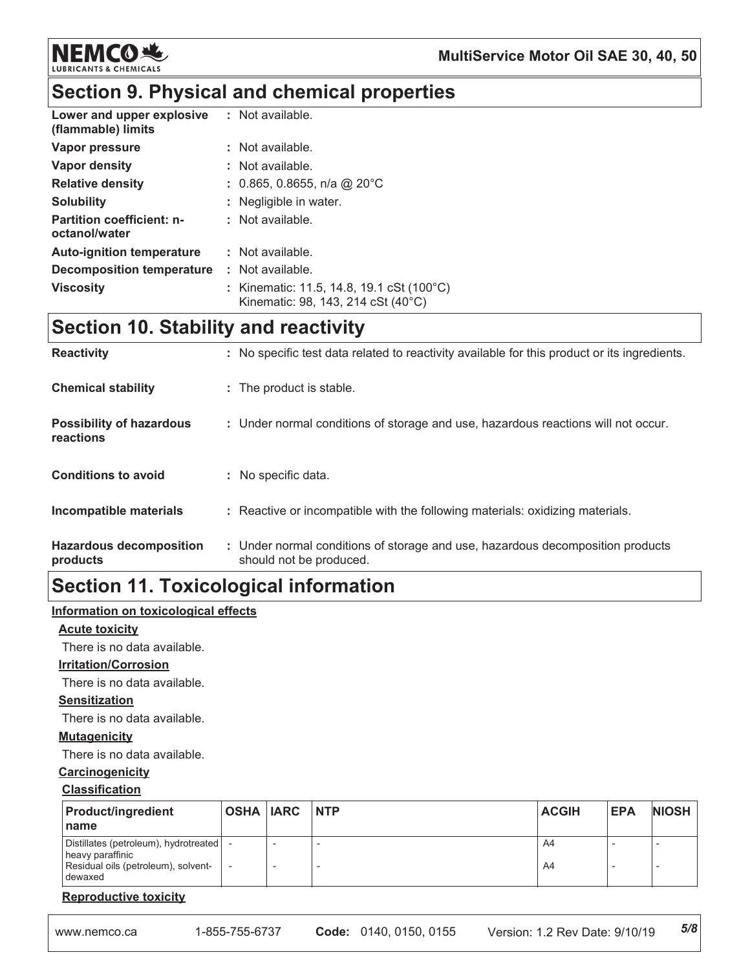

# Section 9. Physical and chemical properties

| Lower and upper explosive<br>(flammable) limits   | : Not available.                                                                |
|---------------------------------------------------|---------------------------------------------------------------------------------|
| Vapor pressure                                    | : Not available.                                                                |
| Vapor density                                     | : Not available.                                                                |
| <b>Relative density</b>                           | : 0.865, 0.8655, n/a @ 20°C                                                     |
| <b>Solubility</b>                                 | : Negligible in water.                                                          |
| <b>Partition coefficient: n-</b><br>octanol/water | : Not available.                                                                |
| <b>Auto-ignition temperature</b>                  | : Not available.                                                                |
| Decomposition temperature                         | : Not available.                                                                |
| <b>Viscosity</b>                                  | : Kinematic: 11.5, 14.8, 19.1 cSt (100°C)<br>Kinematic: 98, 143, 214 cSt (40°C) |

# **Section 10. Stability and reactivity**

| <b>Reactivity</b>                            | : No specific test data related to reactivity available for this product or its ingredients.              |
|----------------------------------------------|-----------------------------------------------------------------------------------------------------------|
| <b>Chemical stability</b>                    | : The product is stable.                                                                                  |
| <b>Possibility of hazardous</b><br>reactions | : Under normal conditions of storage and use, hazardous reactions will not occur.                         |
| <b>Conditions to avoid</b>                   | : No specific data.                                                                                       |
| Incompatible materials                       | : Reactive or incompatible with the following materials: oxidizing materials.                             |
| <b>Hazardous decomposition</b><br>products   | : Under normal conditions of storage and use, hazardous decomposition products<br>should not be produced. |

# **Section 11. Toxicological information**

### Information on toxicological effects

### **Acute toxicity**

There is no data available.

### **Irritation/Corrosion**

There is no data available.

### **Sensitization**

There is no data available.

### **Mutagenicity**

There is no data available.

#### Carcinogenicity

#### **Classification**

| <b>Product/ingredient</b><br>name                                                                           | OSHA IARC INTP | <b>ACGIH</b> | <b>EPA</b> | <b>NIOSH</b> |
|-------------------------------------------------------------------------------------------------------------|----------------|--------------|------------|--------------|
| Distillates (petroleum), hydrotreated<br>heavy paraffinic<br>Residual oils (petroleum), solvent-<br>dewaxed |                | A4<br>A4     |            |              |

### **Reproductive toxicity**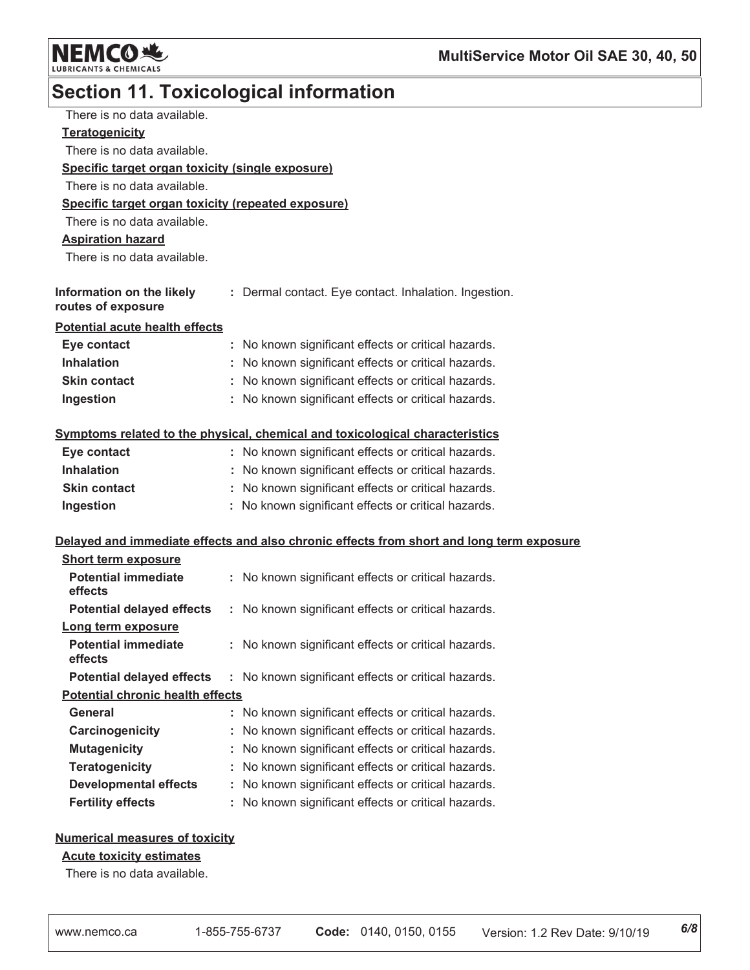

# **Section 11. Toxicological information**

| There is no data available.                        |                                                                                          |
|----------------------------------------------------|------------------------------------------------------------------------------------------|
| <b>Teratogenicity</b>                              |                                                                                          |
| There is no data available.                        |                                                                                          |
| Specific target organ toxicity (single exposure)   |                                                                                          |
| There is no data available.                        |                                                                                          |
| Specific target organ toxicity (repeated exposure) |                                                                                          |
| There is no data available.                        |                                                                                          |
| <b>Aspiration hazard</b>                           |                                                                                          |
| There is no data available.                        |                                                                                          |
|                                                    |                                                                                          |
| Information on the likely<br>routes of exposure    | : Dermal contact. Eye contact. Inhalation. Ingestion.                                    |
| <b>Potential acute health effects</b>              |                                                                                          |
| Eye contact                                        | : No known significant effects or critical hazards.                                      |
| <b>Inhalation</b>                                  | No known significant effects or critical hazards.                                        |
| <b>Skin contact</b>                                | : No known significant effects or critical hazards.                                      |
| Ingestion                                          | : No known significant effects or critical hazards.                                      |
|                                                    | Symptoms related to the physical, chemical and toxicological characteristics             |
| Eye contact                                        | : No known significant effects or critical hazards.                                      |
| <b>Inhalation</b>                                  | : No known significant effects or critical hazards.                                      |
| <b>Skin contact</b>                                | : No known significant effects or critical hazards.                                      |
| Ingestion                                          | : No known significant effects or critical hazards.                                      |
|                                                    | Delayed and immediate effects and also chronic effects from short and long term exposure |
| <b>Short term exposure</b>                         |                                                                                          |
| <b>Potential immediate</b><br>effects              | : No known significant effects or critical hazards.                                      |
| <b>Potential delayed effects</b>                   | : No known significant effects or critical hazards.                                      |
| Long term exposure                                 |                                                                                          |
| <b>Potential immediate</b><br>effects              | : No known significant effects or critical hazards.                                      |
| <b>Potential delayed effects</b>                   | : No known significant effects or critical hazards.                                      |
| <b>Potential chronic health effects</b>            |                                                                                          |
| <b>General</b>                                     | No known significant effects or critical hazards.                                        |
| Carcinogenicity                                    | No known significant effects or critical hazards.                                        |
| <b>Mutagenicity</b>                                | No known significant effects or critical hazards.                                        |
| <b>Teratogenicity</b>                              | No known significant effects or critical hazards.                                        |
| <b>Developmental effects</b>                       | No known significant effects or critical hazards.                                        |
| <b>Fertility effects</b>                           | No known significant effects or critical hazards.                                        |
|                                                    |                                                                                          |

### **Numerical measures of toxicity**

### **Acute toxicity estimates**

There is no data available.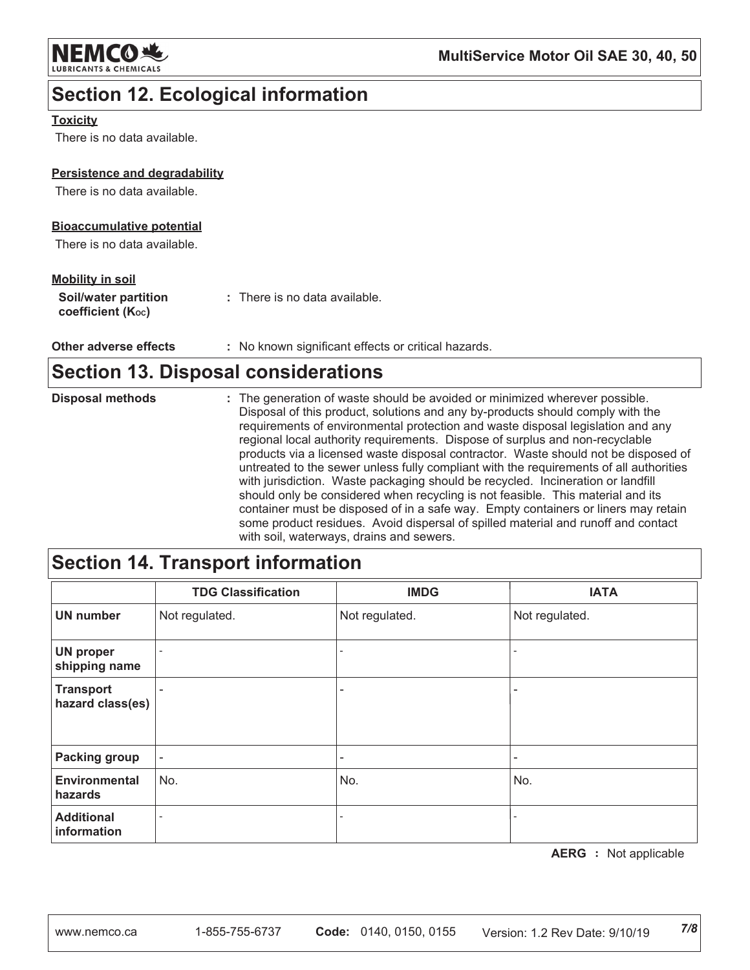

# **Section 12. Ecological information**

### **Toxicity**

There is no data available.

### Persistence and degradability

There is no data available.

### **Bioaccumulative potential**

There is no data available.

### **Mobility in soil**

Other adverse effects : No known significant effects or critical hazards.

# **Section 13. Disposal considerations**

| <b>Disposal methods</b> | : The generation of waste should be avoided or minimized wherever possible.<br>Disposal of this product, solutions and any by-products should comply with the<br>requirements of environmental protection and waste disposal legislation and any<br>regional local authority requirements. Dispose of surplus and non-recyclable<br>products via a licensed waste disposal contractor. Waste should not be disposed of<br>untreated to the sewer unless fully compliant with the requirements of all authorities<br>with jurisdiction. Waste packaging should be recycled. Incineration or landfill |
|-------------------------|-----------------------------------------------------------------------------------------------------------------------------------------------------------------------------------------------------------------------------------------------------------------------------------------------------------------------------------------------------------------------------------------------------------------------------------------------------------------------------------------------------------------------------------------------------------------------------------------------------|
|                         | should only be considered when recycling is not feasible. This material and its<br>container must be disposed of in a safe way. Empty containers or liners may retain<br>some product residues. Avoid dispersal of spilled material and runoff and contact<br>with soil, waterways, drains and sewers.                                                                                                                                                                                                                                                                                              |

# Section 14. Transport information

|                                      | <b>TDG Classification</b> | <b>IMDG</b>              | <b>IATA</b>    |
|--------------------------------------|---------------------------|--------------------------|----------------|
| <b>UN number</b>                     | Not regulated.            | Not regulated.           | Not regulated. |
| <b>UN proper</b><br>shipping name    |                           |                          |                |
| <b>Transport</b><br>hazard class(es) |                           | ۰                        |                |
| <b>Packing group</b>                 | $\overline{\phantom{a}}$  | $\overline{\phantom{a}}$ |                |
| <b>Environmental</b><br>hazards      | No.                       | No.                      | No.            |
| <b>Additional</b><br>information     |                           |                          |                |

**AERG** : Not applicable

 $7/8$